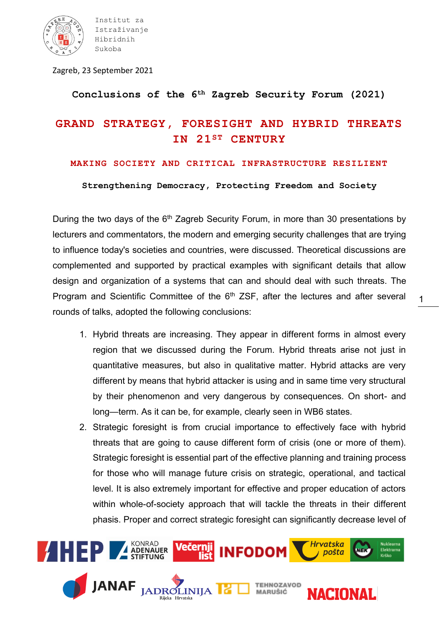

Institut za Istraživanje Hibridnih Sukoba

Zagreb, 23 September 2021

**Conclusions of the 6th Zagreb Security Forum (2021)**

## **GRAND STRATEGY, FORESIGHT AND HYBRID THREATS IN 21ST CENTURY**

## **MAKING SOCIETY AND CRITICAL INFRASTRUCTURE RESILIENT**

**Strengthening Democracy, Protecting Freedom and Society**

During the two days of the  $6<sup>th</sup>$  Zagreb Security Forum, in more than 30 presentations by lecturers and commentators, the modern and emerging security challenges that are trying to influence today's societies and countries, were discussed. Theoretical discussions are complemented and supported by practical examples with significant details that allow design and organization of a systems that can and should deal with such threats. The Program and Scientific Committee of the  $6<sup>th</sup> ZSF$ , after the lectures and after several rounds of talks, adopted the following conclusions:

1. Hybrid threats are increasing. They appear in different forms in almost every region that we discussed during the Forum. Hybrid threats arise not just in quantitative measures, but also in qualitative matter. Hybrid attacks are very different by means that hybrid attacker is using and in same time very structural by their phenomenon and very dangerous by consequences. On short- and long—term. As it can be, for example, clearly seen in WB6 states.

1

2. Strategic foresight is from crucial importance to effectively face with hybrid threats that are going to cause different form of crisis (one or more of them). Strategic foresight is essential part of the effective planning and training process for those who will manage future crisis on strategic, operational, and tactical level. It is also extremely important for effective and proper education of actors within whole-of-society approach that will tackle the threats in their different phasis. Proper and correct strategic foresight can significantly decrease level of

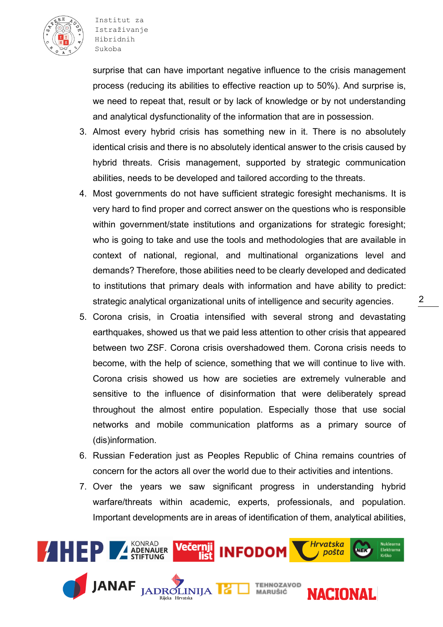

Institut za Istraživanje Hibridnih Sukoba

surprise that can have important negative influence to the crisis management process (reducing its abilities to effective reaction up to 50%). And surprise is, we need to repeat that, result or by lack of knowledge or by not understanding and analytical dysfunctionality of the information that are in possession.

- 3. Almost every hybrid crisis has something new in it. There is no absolutely identical crisis and there is no absolutely identical answer to the crisis caused by hybrid threats. Crisis management, supported by strategic communication abilities, needs to be developed and tailored according to the threats.
- 4. Most governments do not have sufficient strategic foresight mechanisms. It is very hard to find proper and correct answer on the questions who is responsible within government/state institutions and organizations for strategic foresight; who is going to take and use the tools and methodologies that are available in context of national, regional, and multinational organizations level and demands? Therefore, those abilities need to be clearly developed and dedicated to institutions that primary deals with information and have ability to predict: strategic analytical organizational units of intelligence and security agencies.
- 5. Corona crisis, in Croatia intensified with several strong and devastating earthquakes, showed us that we paid less attention to other crisis that appeared between two ZSF. Corona crisis overshadowed them. Corona crisis needs to become, with the help of science, something that we will continue to live with. Corona crisis showed us how are societies are extremely vulnerable and sensitive to the influence of disinformation that were deliberately spread throughout the almost entire population. Especially those that use social networks and mobile communication platforms as a primary source of (dis)information.
- 6. Russian Federation just as Peoples Republic of China remains countries of concern for the actors all over the world due to their activities and intentions.
- 7. Over the years we saw significant progress in understanding hybrid warfare/threats within academic, experts, professionals, and population. Important developments are in areas of identification of them, analytical abilities,



 $\mathcal{P}$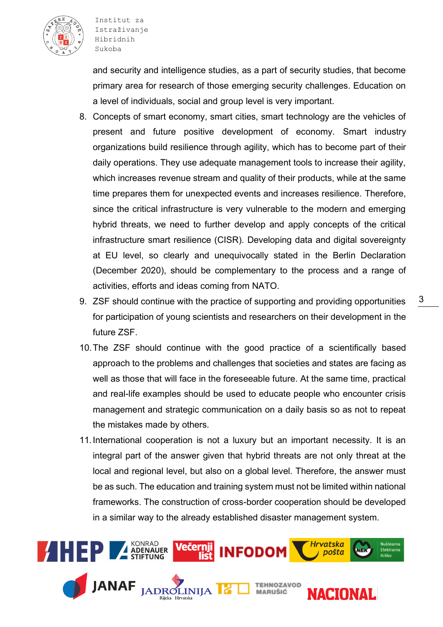

and security and intelligence studies, as a part of security studies, that become primary area for research of those emerging security challenges. Education on a level of individuals, social and group level is very important.

- 8. Concepts of smart economy, smart cities, smart technology are the vehicles of present and future positive development of economy. Smart industry organizations build resilience through agility, which has to become part of their daily operations. They use adequate management tools to increase their agility, which increases revenue stream and quality of their products, while at the same time prepares them for unexpected events and increases resilience. Therefore, since the critical infrastructure is very vulnerable to the modern and emerging hybrid threats, we need to further develop and apply concepts of the critical infrastructure smart resilience (CISR). Developing data and digital sovereignty at EU level, so clearly and unequivocally stated in the Berlin Declaration (December 2020), should be complementary to the process and a range of activities, efforts and ideas coming from NATO.
- 9. ZSF should continue with the practice of supporting and providing opportunities for participation of young scientists and researchers on their development in the future ZSF.
- 10.The ZSF should continue with the good practice of a scientifically based approach to the problems and challenges that societies and states are facing as well as those that will face in the foreseeable future. At the same time, practical and real-life examples should be used to educate people who encounter crisis management and strategic communication on a daily basis so as not to repeat the mistakes made by others.
- 11.International cooperation is not a luxury but an important necessity. It is an integral part of the answer given that hybrid threats are not only threat at the local and regional level, but also on a global level. Therefore, the answer must be as such. The education and training system must not be limited within national frameworks. The construction of cross-border cooperation should be developed in a similar way to the already established disaster management system.



3